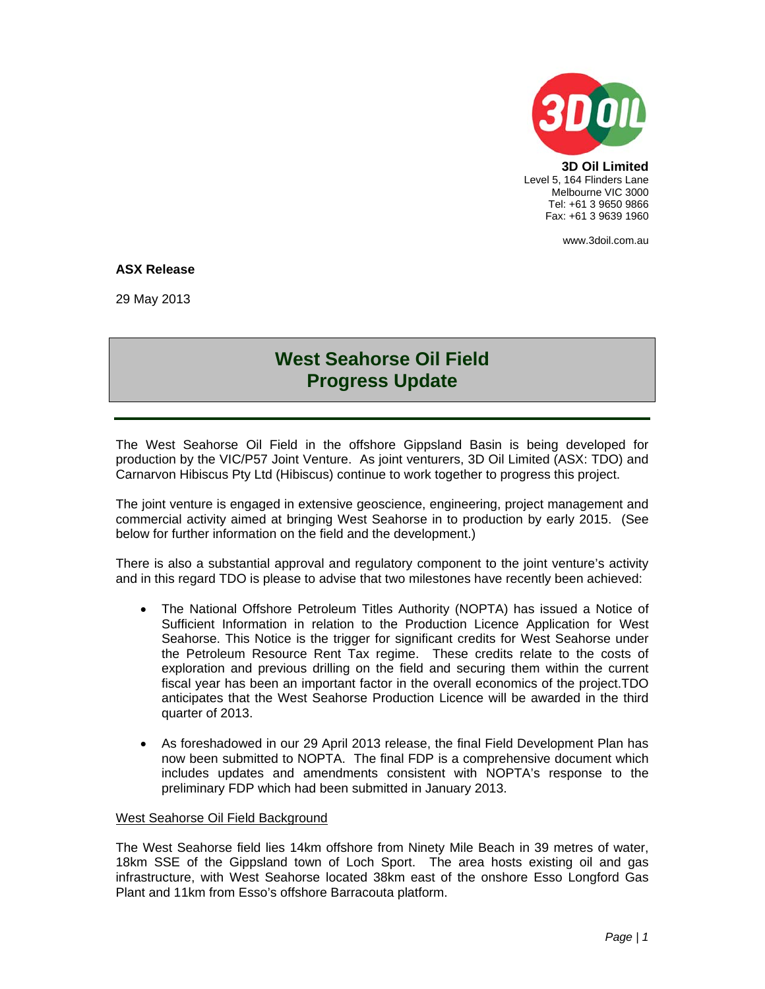

**3D Oil Limited**  Level 5, 164 Flinders Lane Melbourne VIC 3000 Tel: +61 3 9650 9866 Fax: +61 3 9639 1960

www.3doil.com.au

## **ASX Release**

29 May 2013

## **West Seahorse Oil Field Progress Update**

The West Seahorse Oil Field in the offshore Gippsland Basin is being developed for production by the VIC/P57 Joint Venture. As joint venturers, 3D Oil Limited (ASX: TDO) and Carnarvon Hibiscus Pty Ltd (Hibiscus) continue to work together to progress this project.

The joint venture is engaged in extensive geoscience, engineering, project management and commercial activity aimed at bringing West Seahorse in to production by early 2015. (See below for further information on the field and the development.)

There is also a substantial approval and regulatory component to the joint venture's activity and in this regard TDO is please to advise that two milestones have recently been achieved:

- The National Offshore Petroleum Titles Authority (NOPTA) has issued a Notice of Sufficient Information in relation to the Production Licence Application for West Seahorse. This Notice is the trigger for significant credits for West Seahorse under the Petroleum Resource Rent Tax regime. These credits relate to the costs of exploration and previous drilling on the field and securing them within the current fiscal year has been an important factor in the overall economics of the project.TDO anticipates that the West Seahorse Production Licence will be awarded in the third quarter of 2013.
- As foreshadowed in our 29 April 2013 release, the final Field Development Plan has now been submitted to NOPTA. The final FDP is a comprehensive document which includes updates and amendments consistent with NOPTA's response to the preliminary FDP which had been submitted in January 2013.

## West Seahorse Oil Field Background

The West Seahorse field lies 14km offshore from Ninety Mile Beach in 39 metres of water, 18km SSE of the Gippsland town of Loch Sport. The area hosts existing oil and gas infrastructure, with West Seahorse located 38km east of the onshore Esso Longford Gas Plant and 11km from Esso's offshore Barracouta platform.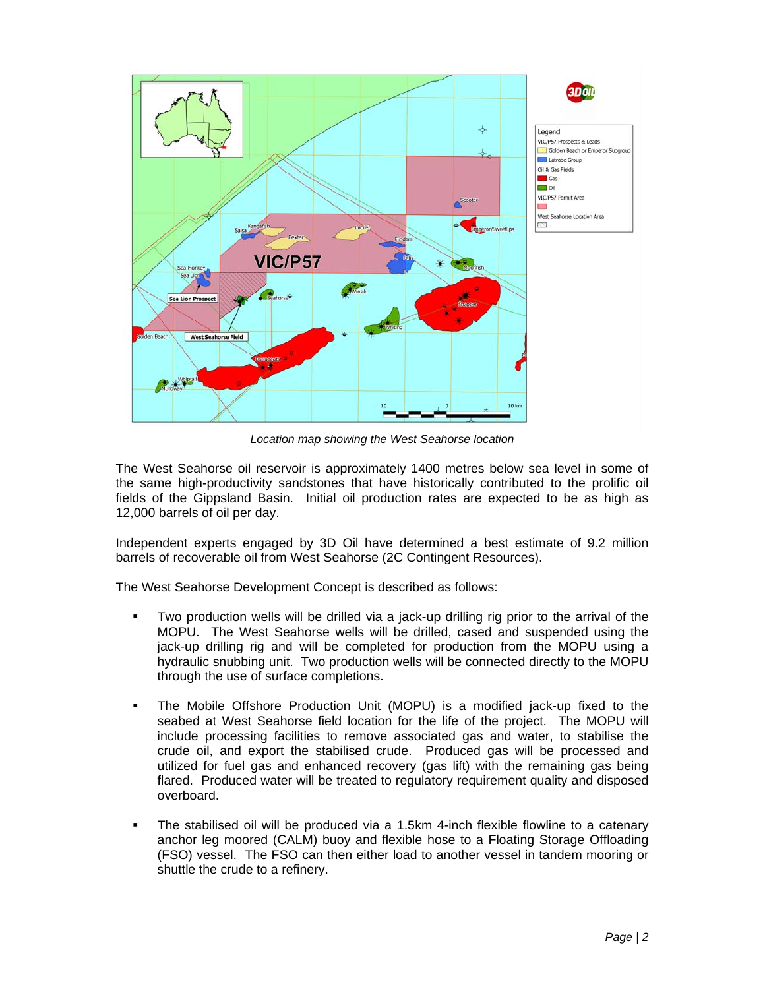

*Location map showing the West Seahorse location* 

The West Seahorse oil reservoir is approximately 1400 metres below sea level in some of the same high-productivity sandstones that have historically contributed to the prolific oil fields of the Gippsland Basin. Initial oil production rates are expected to be as high as 12,000 barrels of oil per day.

Independent experts engaged by 3D Oil have determined a best estimate of 9.2 million barrels of recoverable oil from West Seahorse (2C Contingent Resources).

The West Seahorse Development Concept is described as follows:

- Two production wells will be drilled via a jack-up drilling rig prior to the arrival of the MOPU. The West Seahorse wells will be drilled, cased and suspended using the jack-up drilling rig and will be completed for production from the MOPU using a hydraulic snubbing unit. Two production wells will be connected directly to the MOPU through the use of surface completions.
- The Mobile Offshore Production Unit (MOPU) is a modified jack-up fixed to the seabed at West Seahorse field location for the life of the project. The MOPU will include processing facilities to remove associated gas and water, to stabilise the crude oil, and export the stabilised crude. Produced gas will be processed and utilized for fuel gas and enhanced recovery (gas lift) with the remaining gas being flared. Produced water will be treated to regulatory requirement quality and disposed overboard.
- The stabilised oil will be produced via a 1.5km 4-inch flexible flowline to a catenary anchor leg moored (CALM) buoy and flexible hose to a Floating Storage Offloading (FSO) vessel. The FSO can then either load to another vessel in tandem mooring or shuttle the crude to a refinery.